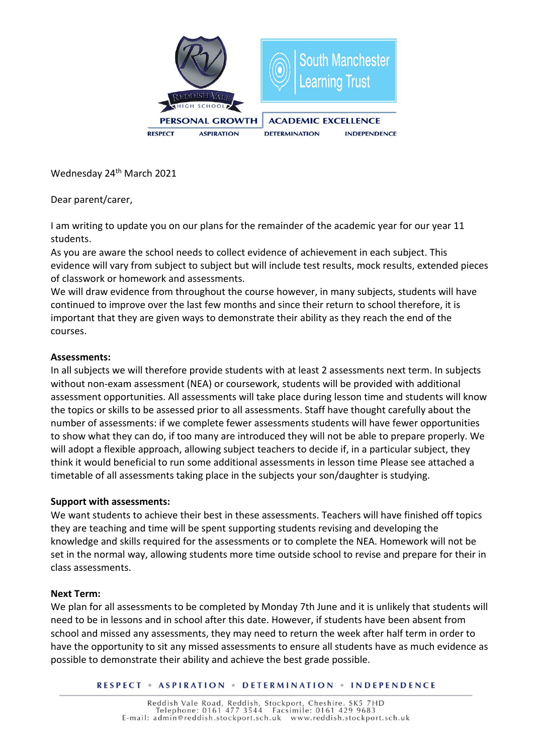

Wednesday 24<sup>th</sup> March 2021

Dear parent/carer,

I am writing to update you on our plans for the remainder of the academic year for our year 11 students.

As you are aware the school needs to collect evidence of achievement in each subject. This evidence will vary from subject to subject but will include test results, mock results, extended pieces of classwork or homework and assessments.

We will draw evidence from throughout the course however, in many subjects, students will have continued to improve over the last few months and since their return to school therefore, it is important that they are given ways to demonstrate their ability as they reach the end of the courses.

# **Assessments:**

In all subjects we will therefore provide students with at least 2 assessments next term. In subjects without non-exam assessment (NEA) or coursework, students will be provided with additional assessment opportunities. All assessments will take place during lesson time and students will know the topics or skills to be assessed prior to all assessments. Staff have thought carefully about the number of assessments: if we complete fewer assessments students will have fewer opportunities to show what they can do, if too many are introduced they will not be able to prepare properly. We will adopt a flexible approach, allowing subject teachers to decide if, in a particular subject, they think it would beneficial to run some additional assessments in lesson time Please see attached a timetable of all assessments taking place in the subjects your son/daughter is studying.

### **Support with assessments:**

We want students to achieve their best in these assessments. Teachers will have finished off topics they are teaching and time will be spent supporting students revising and developing the knowledge and skills required for the assessments or to complete the NEA. Homework will not be set in the normal way, allowing students more time outside school to revise and prepare for their in class assessments.

### **Next Term:**

We plan for all assessments to be completed by Monday 7th June and it is unlikely that students will need to be in lessons and in school after this date. However, if students have been absent from school and missed any assessments, they may need to return the week after half term in order to have the opportunity to sit any missed assessments to ensure all students have as much evidence as possible to demonstrate their ability and achieve the best grade possible.

**RESPECT . ASPIRATION . DETERMINATION . INDEPENDENCE**